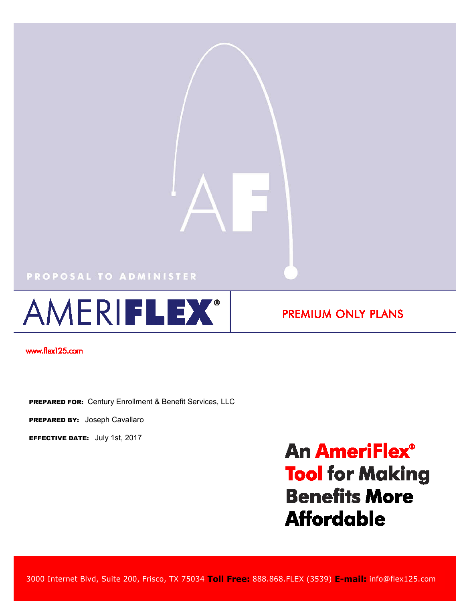## PROPOSAL TO ADMINISTER



**PREMIUM ONLY PLANS** 

www.flex125.com

PREPARED FOR: Century Enrollment & Benefit Services, LLC

PREPARED BY: Joseph Cavallaro

EFFECTIVE DATE: July 1st, 2017

**An AmeriFlex® Tool for Making Benefits More Affordable** 

3000 Internet Blvd, Suite 200, Frisco, TX 75034 **Toll Free:** 888.868.FLEX (3539) **E-mail:** info@flex125.com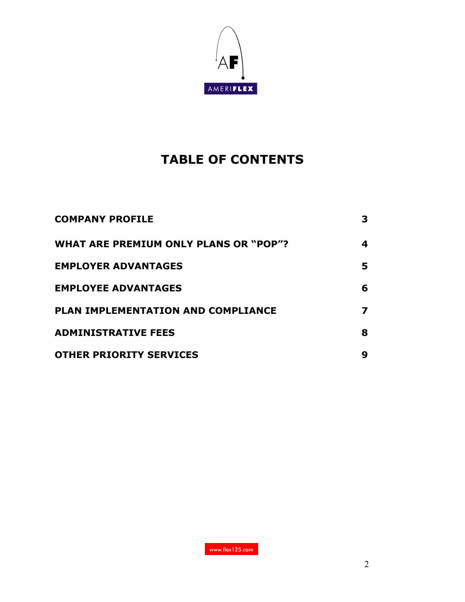

# **TABLE OF CONTENTS**

| <b>COMPANY PROFILE</b>                       | 3 |
|----------------------------------------------|---|
| <b>WHAT ARE PREMIUM ONLY PLANS OR "POP"?</b> | 4 |
| <b>EMPLOYER ADVANTAGES</b>                   | 5 |
| <b>EMPLOYEE ADVANTAGES</b>                   | 6 |
| PLAN IMPLEMENTATION AND COMPLIANCE           | 7 |
| <b>ADMINISTRATIVE FEES</b>                   | 8 |
| <b>OTHER PRIORITY SERVICES</b>               | 9 |

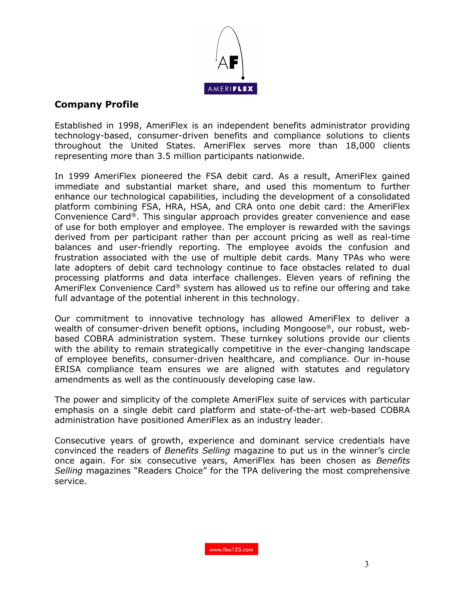

## **Company Profile**

Established in 1998, AmeriFlex is an independent benefits administrator providing technology-based, consumer-driven benefits and compliance solutions to clients throughout the United States. AmeriFlex serves more than 18,000 clients representing more than 3.5 million participants nationwide.

In 1999 AmeriFlex pioneered the FSA debit card. As a result, AmeriFlex gained immediate and substantial market share, and used this momentum to further enhance our technological capabilities, including the development of a consolidated platform combining FSA, HRA, HSA, and CRA onto one debit card: the AmeriFlex Convenience Card®. This singular approach provides greater convenience and ease of use for both employer and employee. The employer is rewarded with the savings derived from per participant rather than per account pricing as well as real-time balances and user-friendly reporting. The employee avoids the confusion and frustration associated with the use of multiple debit cards. Many TPAs who were late adopters of debit card technology continue to face obstacles related to dual processing platforms and data interface challenges. Eleven years of refining the AmeriFlex Convenience Card® system has allowed us to refine our offering and take full advantage of the potential inherent in this technology.

Our commitment to innovative technology has allowed AmeriFlex to deliver a wealth of consumer-driven benefit options, including Mongoose®, our robust, webbased COBRA administration system. These turnkey solutions provide our clients with the ability to remain strategically competitive in the ever-changing landscape of employee benefits, consumer-driven healthcare, and compliance. Our in-house ERISA compliance team ensures we are aligned with statutes and regulatory amendments as well as the continuously developing case law.

The power and simplicity of the complete AmeriFlex suite of services with particular emphasis on a single debit card platform and state-of-the-art web-based COBRA administration have positioned AmeriFlex as an industry leader.

Consecutive years of growth, experience and dominant service credentials have convinced the readers of *Benefits Selling* magazine to put us in the winner's circle once again. For six consecutive years, AmeriFlex has been chosen as *Benefits Selling* magazines "Readers Choice" for the TPA delivering the most comprehensive service.

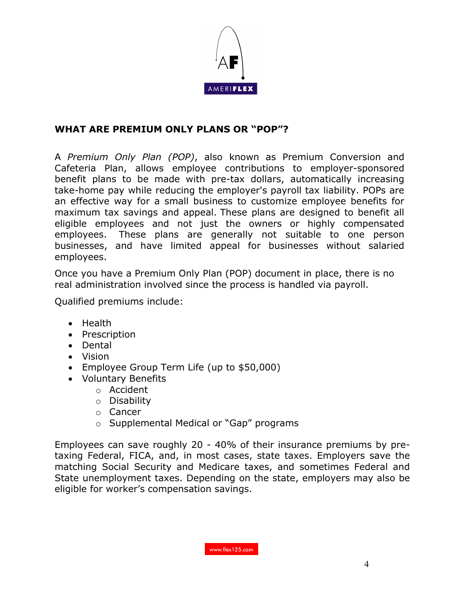

# **WHAT ARE PREMIUM ONLY PLANS OR "POP"?**

A *Premium Only Plan (POP)*, also known as Premium Conversion and Cafeteria Plan, allows employee contributions to employer-sponsored benefit plans to be made with pre-tax dollars, automatically increasing take-home pay while reducing the employer's payroll tax liability. POPs are an effective way for a small business to customize employee benefits for maximum tax savings and appeal. These plans are designed to benefit all eligible employees and not just the owners or highly compensated employees. These plans are generally not suitable to one person businesses, and have limited appeal for businesses without salaried employees.

Once you have a Premium Only Plan (POP) document in place, there is no real administration involved since the process is handled via payroll.

Qualified premiums include:

- Health
- Prescription
- Dental
- Vision
- Employee Group Term Life (up to \$50,000)
- Voluntary Benefits
	- o Accident
	- o Disability
	- o Cancer
	- o Supplemental Medical or "Gap" programs

Employees can save roughly 20 - 40% of their insurance premiums by pretaxing Federal, FICA, and, in most cases, state taxes. Employers save the matching Social Security and Medicare taxes, and sometimes Federal and State unemployment taxes. Depending on the state, employers may also be eligible for worker's compensation savings.

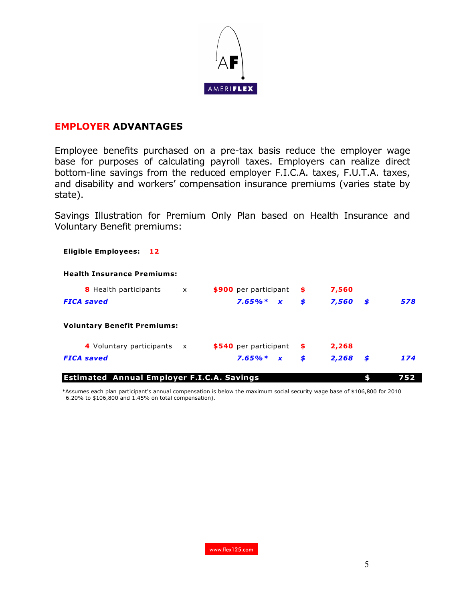

#### **EMPLOYER ADVANTAGES**

Employee benefits purchased on a pre-tax basis reduce the employer wage base for purposes of calculating payroll taxes. Employers can realize direct bottom-line savings from the reduced employer F.I.C.A. taxes, F.U.T.A. taxes, and disability and workers' compensation insurance premiums (varies state by state).

Savings Illustration for Premium Only Plan based on Health Insurance and Voluntary Benefit premiums:

**Eligible Employees: 12**

# **Health Insurance Premiums:**

| <b>8</b> Health participants       | $\mathsf{x}$ | \$900 per participant | -\$  | 7,560       |     |
|------------------------------------|--------------|-----------------------|------|-------------|-----|
| <b>FICA</b> saved                  |              | $7.65\%* x$           | \$   | 7,560<br>S  | 578 |
| <b>Voluntary Benefit Premiums:</b> |              |                       |      |             |     |
| 4 Voluntary participants x         |              | \$540 per participant | - \$ | 2,268       |     |
| <b>FICA</b> saved                  |              | $7.65\% * x$          | \$   | 2,268<br>S. | 174 |
|                                    |              |                       |      |             |     |

**Estimated Annual Employer F.I.C.A. Savings \$ 752**

 \*Assumes each plan participant's annual compensation is below the maximum social security wage base of \$106,800 for 2010 6.20% to \$106,800 and 1.45% on total compensation).

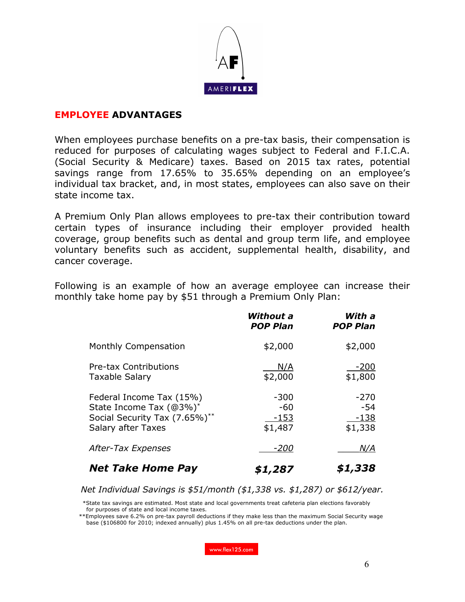

#### **EMPLOYEE ADVANTAGES**

When employees purchase benefits on a pre-tax basis, their compensation is reduced for purposes of calculating wages subject to Federal and F.I.C.A. (Social Security & Medicare) taxes. Based on 2015 tax rates, potential savings range from 17.65% to 35.65% depending on an employee's individual tax bracket, and, in most states, employees can also save on their state income tax.

A Premium Only Plan allows employees to pre-tax their contribution toward certain types of insurance including their employer provided health coverage, group benefits such as dental and group term life, and employee voluntary benefits such as accident, supplemental health, disability, and cancer coverage.

Following is an example of how an average employee can increase their monthly take home pay by \$51 through a Premium Only Plan:

|                                                                                                                   | Without a<br><b>POP Plan</b>       | With a<br><b>POP Plan</b>            |
|-------------------------------------------------------------------------------------------------------------------|------------------------------------|--------------------------------------|
| Monthly Compensation                                                                                              | \$2,000                            | \$2,000                              |
| <b>Pre-tax Contributions</b><br><b>Taxable Salary</b>                                                             | N/A<br>\$2,000                     | $-200$<br>\$1,800                    |
| Federal Income Tax (15%)<br>State Income Tax (@3%)*<br>Social Security Tax (7.65%)**<br><b>Salary after Taxes</b> | -300<br>$-60$<br>$-153$<br>\$1,487 | $-270$<br>$-54$<br>$-138$<br>\$1,338 |
| After-Tax Expenses                                                                                                | -200                               | <u>N/A</u>                           |
| <b>Net Take Home Pay</b>                                                                                          | \$1,287                            | \$1,338                              |

*Net Individual Savings is \$51/month (\$1,338 vs. \$1,287) or \$612/year.*

 \*State tax savings are estimated. Most state and local governments treat cafeteria plan elections favorably for purposes of state and local income taxes.

 \*\*Employees save 6.2% on pre-tax payroll deductions if they make less than the maximum Social Security wage base (\$106800 for 2010; indexed annually) plus 1.45% on all pre-tax deductions under the plan.

www.flex125.com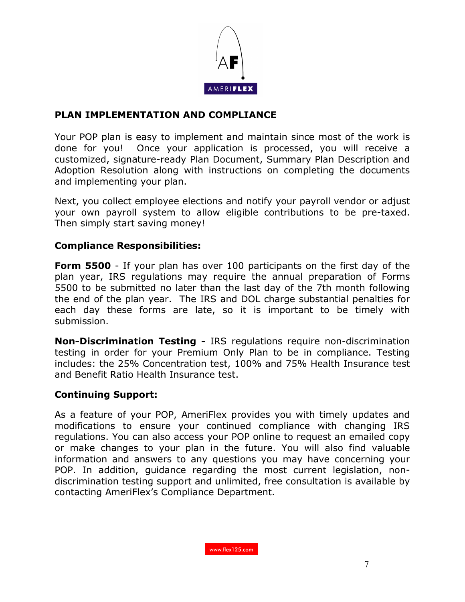

## **PLAN IMPLEMENTATION AND COMPLIANCE**

Your POP plan is easy to implement and maintain since most of the work is done for you! Once your application is processed, you will receive a customized, signature-ready Plan Document, Summary Plan Description and Adoption Resolution along with instructions on completing the documents and implementing your plan.

Next, you collect employee elections and notify your payroll vendor or adjust your own payroll system to allow eligible contributions to be pre-taxed. Then simply start saving money!

#### **Compliance Responsibilities:**

**Form 5500** - If your plan has over 100 participants on the first day of the plan year, IRS regulations may require the annual preparation of Forms 5500 to be submitted no later than the last day of the 7th month following the end of the plan year. The IRS and DOL charge substantial penalties for each day these forms are late, so it is important to be timely with submission.

**Non-Discrimination Testing -** IRS regulations require non-discrimination testing in order for your Premium Only Plan to be in compliance. Testing includes: the 25% Concentration test, 100% and 75% Health Insurance test and Benefit Ratio Health Insurance test.

#### **Continuing Support:**

As a feature of your POP, AmeriFlex provides you with timely updates and modifications to ensure your continued compliance with changing IRS regulations. You can also access your POP online to request an emailed copy or make changes to your plan in the future. You will also find valuable information and answers to any questions you may have concerning your POP. In addition, guidance regarding the most current legislation, nondiscrimination testing support and unlimited, free consultation is available by contacting AmeriFlex's Compliance Department.

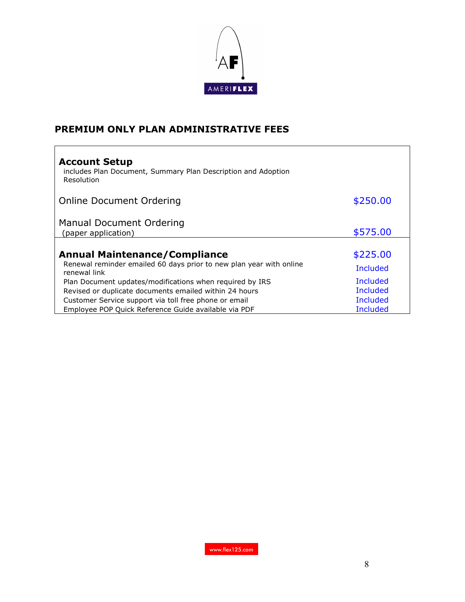

# **PREMIUM ONLY PLAN ADMINISTRATIVE FEES**

| <b>Account Setup</b><br>includes Plan Document, Summary Plan Description and Adoption<br>Resolution                         |                      |
|-----------------------------------------------------------------------------------------------------------------------------|----------------------|
| Online Document Ordering                                                                                                    | \$250.00             |
| Manual Document Ordering<br>(paper application)                                                                             | \$575.00             |
| <b>Annual Maintenance/Compliance</b><br>Renewal reminder emailed 60 days prior to new plan year with online<br>renewal link | \$225.00<br>Included |
| Plan Document updates/modifications when required by IRS<br>Revised or duplicate documents emailed within 24 hours          | Included<br>Included |
| Customer Service support via toll free phone or email<br>Employee POP Quick Reference Guide available via PDF               | Included<br>Included |

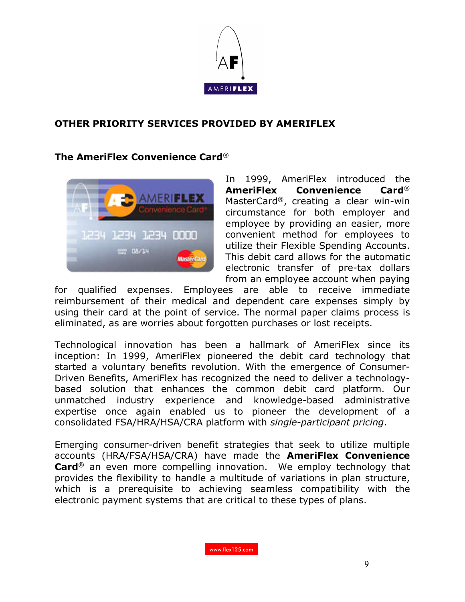

## **OTHER PRIORITY SERVICES PROVIDED BY AMERIFLEX**

#### **The AmeriFlex Convenience Card**®



In 1999, AmeriFlex introduced the **AmeriFlex Convenience Card**® MasterCard®, creating a clear win-win circumstance for both employer and employee by providing an easier, more convenient method for employees to utilize their Flexible Spending Accounts. This debit card allows for the automatic electronic transfer of pre-tax dollars from an employee account when paying

for qualified expenses. Employees are able to receive immediate reimbursement of their medical and dependent care expenses simply by using their card at the point of service. The normal paper claims process is eliminated, as are worries about forgotten purchases or lost receipts.

Technological innovation has been a hallmark of AmeriFlex since its inception: In 1999, AmeriFlex pioneered the debit card technology that started a voluntary benefits revolution. With the emergence of Consumer-Driven Benefits, AmeriFlex has recognized the need to deliver a technologybased solution that enhances the common debit card platform. Our unmatched industry experience and knowledge-based administrative expertise once again enabled us to pioneer the development of a consolidated FSA/HRA/HSA/CRA platform with *single-participant pricing*.

Emerging consumer-driven benefit strategies that seek to utilize multiple accounts (HRA/FSA/HSA/CRA) have made the **AmeriFlex Convenience Card**<sup>®</sup> an even more compelling innovation. We employ technology that provides the flexibility to handle a multitude of variations in plan structure, which is a prerequisite to achieving seamless compatibility with the electronic payment systems that are critical to these types of plans.

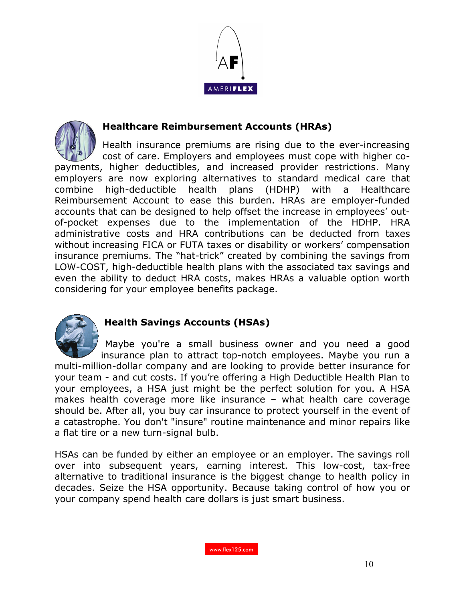



## **Healthcare Reimbursement Accounts (HRAs)**

Health insurance premiums are rising due to the ever-increasing cost of care. Employers and employees must cope with higher copayments, higher deductibles, and increased provider restrictions. Many employers are now exploring alternatives to standard medical care that combine high-deductible health plans (HDHP) with a Healthcare Reimbursement Account to ease this burden. HRAs are employer-funded accounts that can be designed to help offset the increase in employees' outof-pocket expenses due to the implementation of the HDHP. HRA administrative costs and HRA contributions can be deducted from taxes without increasing FICA or FUTA taxes or disability or workers' compensation insurance premiums. The "hat-trick" created by combining the savings from LOW-COST, high-deductible health plans with the associated tax savings and even the ability to deduct HRA costs, makes HRAs a valuable option worth considering for your employee benefits package.



# **Health Savings Accounts (HSAs)**

Maybe you're a small business owner and you need a good insurance plan to attract top-notch employees. Maybe you run a multi-million-dollar company and are looking to provide better insurance for your team - and cut costs. If you're offering a High Deductible Health Plan to your employees, a HSA just might be the perfect solution for you. A HSA makes health coverage more like insurance – what health care coverage should be. After all, you buy car insurance to protect yourself in the event of a catastrophe. You don't "insure" routine maintenance and minor repairs like a flat tire or a new turn-signal bulb.

HSAs can be funded by either an employee or an employer. The savings roll over into subsequent years, earning interest. This low-cost, tax-free alternative to traditional insurance is the biggest change to health policy in decades. Seize the HSA opportunity. Because taking control of how you or your company spend health care dollars is just smart business.